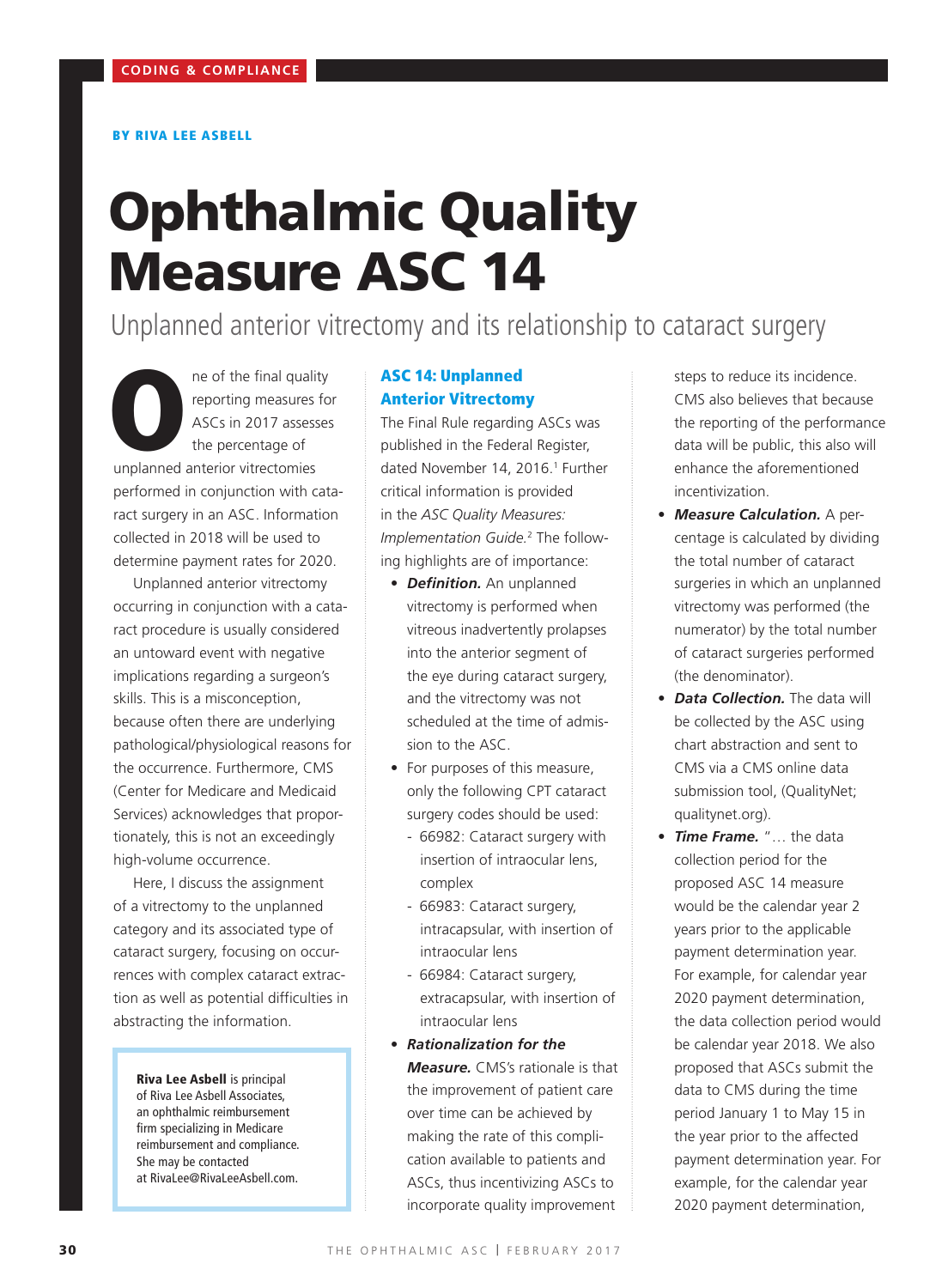#### BY RIVA LEE ASBELL

# Ophthalmic Quality Measure ASC 14

Unplanned anterior vitrectomy and its relationship to cataract surgery

ne of the final quality<br>
reporting measures for<br>
ASCs in 2017 assesses<br>
the percentage of<br>
unplanned anterior vitrectomies reporting measures for ASCs in 2017 assesses the percentage of performed in conjunction with cataract surgery in an ASC. Information collected in 2018 will be used to determine payment rates for 2020.

Unplanned anterior vitrectomy occurring in conjunction with a cataract procedure is usually considered an untoward event with negative implications regarding a surgeon's skills. This is a misconception, because often there are underlying pathological/physiological reasons for the occurrence. Furthermore, CMS (Center for Medicare and Medicaid Services) acknowledges that proportionately, this is not an exceedingly high-volume occurrence.

Here, I discuss the assignment of a vitrectomy to the unplanned category and its associated type of cataract surgery, focusing on occurrences with complex cataract extraction as well as potential difficulties in abstracting the information.

Riva Lee Asbell is principal of Riva Lee Asbell Associates, an ophthalmic reimbursement firm specializing in Medicare reimbursement and compliance. She may be contacted at RivaLee@RivaLeeAsbell.com.

# ASC 14: Unplanned Anterior Vitrectomy

The Final Rule regarding ASCs was published in the Federal Register, dated November 14, 2016.<sup>1</sup> Further critical information is provided in the *ASC Quality Measures: Implementation Guide.*<sup>2</sup> The following highlights are of importance:

- *Definition.* An unplanned vitrectomy is performed when vitreous inadvertently prolapses into the anterior segment of the eye during cataract surgery, and the vitrectomy was not scheduled at the time of admission to the ASC.
- For purposes of this measure, only the following CPT cataract surgery codes should be used:
	- 66982: Cataract surgery with insertion of intraocular lens, complex
	- 66983: Cataract surgery, intracapsular, with insertion of intraocular lens
	- 66984: Cataract surgery, extracapsular, with insertion of intraocular lens
- *Rationalization for the Measure.* CMS's rationale is that the improvement of patient care over time can be achieved by making the rate of this complication available to patients and ASCs, thus incentivizing ASCs to incorporate quality improvement

steps to reduce its incidence. CMS also believes that because the reporting of the performance data will be public, this also will enhance the aforementioned incentivization.

- *Measure Calculation.* A percentage is calculated by dividing the total number of cataract surgeries in which an unplanned vitrectomy was performed (the numerator) by the total number of cataract surgeries performed (the denominator).
- *Data Collection.* The data will be collected by the ASC using chart abstraction and sent to CMS via a CMS online data submission tool, (QualityNet; qualitynet.org).
- *Time Frame.* "… the data collection period for the proposed ASC 14 measure would be the calendar year 2 years prior to the applicable payment determination year. For example, for calendar year 2020 payment determination, the data collection period would be calendar year 2018. We also proposed that ASCs submit the data to CMS during the time period January 1 to May 15 in the year prior to the affected payment determination year. For example, for the calendar year 2020 payment determination,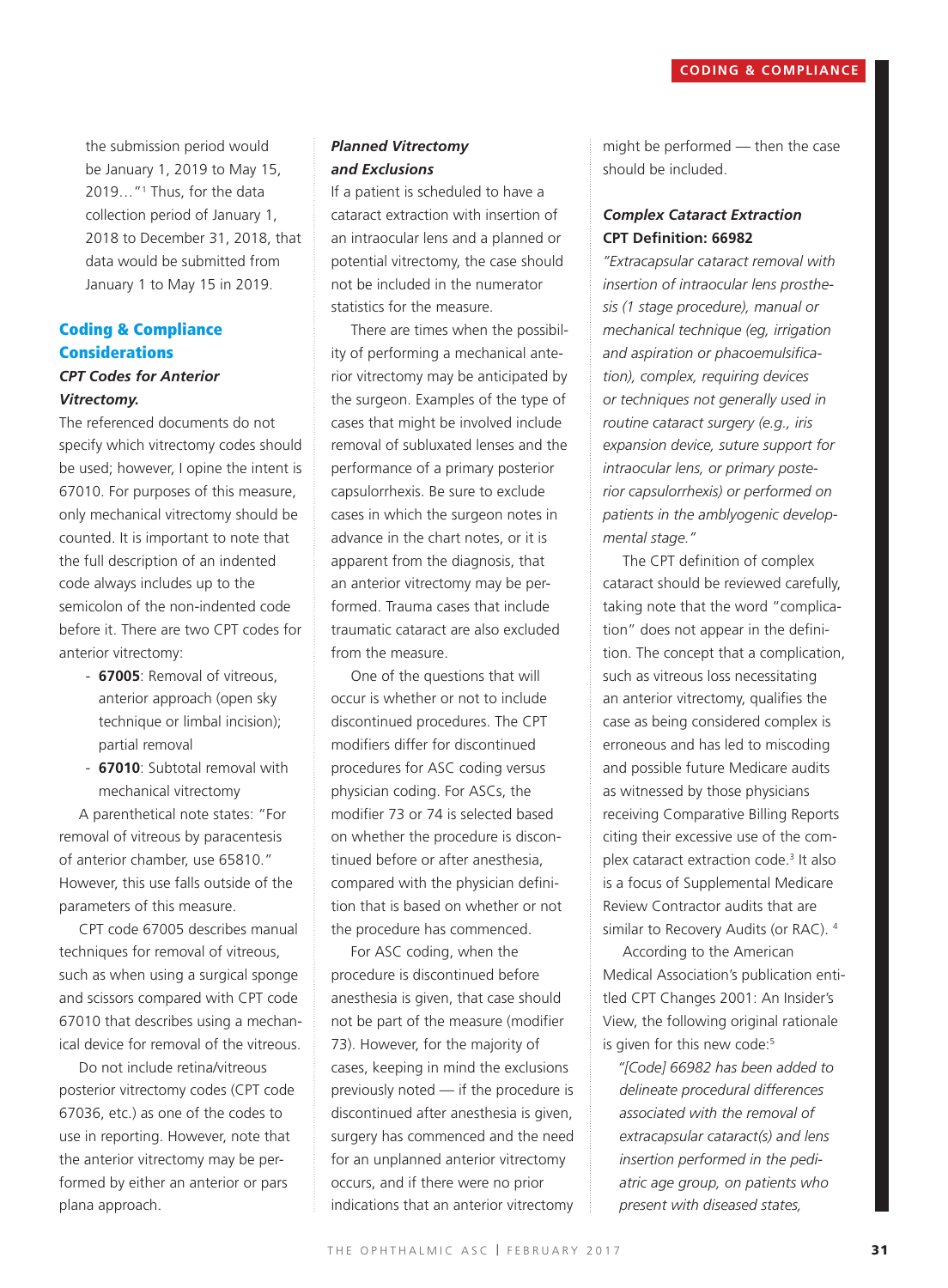the submission period would be January 1, 2019 to May 15, 2019…"1 Thus, for the data collection period of January 1, 2018 to December 31, 2018, that data would be submitted from January 1 to May 15 in 2019.

# Coding & Compliance **Considerations** *CPT Codes for Anterior*

# *Vitrectomy.*

The referenced documents do not specify which vitrectomy codes should be used; however, I opine the intent is 67010. For purposes of this measure, only mechanical vitrectomy should be counted. It is important to note that the full description of an indented code always includes up to the semicolon of the non-indented code before it. There are two CPT codes for anterior vitrectomy:

- **67005**: Removal of vitreous, anterior approach (open sky technique or limbal incision); partial removal
- **67010**: Subtotal removal with mechanical vitrectomy

A parenthetical note states: "For removal of vitreous by paracentesis of anterior chamber, use 65810." However, this use falls outside of the parameters of this measure.

CPT code 67005 describes manual techniques for removal of vitreous, such as when using a surgical sponge and scissors compared with CPT code 67010 that describes using a mechanical device for removal of the vitreous.

Do not include retina/vitreous posterior vitrectomy codes (CPT code 67036, etc.) as one of the codes to use in reporting. However, note that the anterior vitrectomy may be performed by either an anterior or pars plana approach.

# *Planned Vitrectomy and Exclusions*

If a patient is scheduled to have a cataract extraction with insertion of an intraocular lens and a planned or potential vitrectomy, the case should not be included in the numerator statistics for the measure.

There are times when the possibility of performing a mechanical anterior vitrectomy may be anticipated by the surgeon. Examples of the type of cases that might be involved include removal of subluxated lenses and the performance of a primary posterior capsulorrhexis. Be sure to exclude cases in which the surgeon notes in advance in the chart notes, or it is apparent from the diagnosis, that an anterior vitrectomy may be performed. Trauma cases that include traumatic cataract are also excluded from the measure.

One of the questions that will occur is whether or not to include discontinued procedures. The CPT modifiers differ for discontinued procedures for ASC coding versus physician coding. For ASCs, the modifier 73 or 74 is selected based on whether the procedure is discontinued before or after anesthesia, compared with the physician definition that is based on whether or not the procedure has commenced.

For ASC coding, when the procedure is discontinued before anesthesia is given, that case should not be part of the measure (modifier 73). However, for the majority of cases, keeping in mind the exclusions previously noted — if the procedure is discontinued after anesthesia is given, surgery has commenced and the need for an unplanned anterior vitrectomy occurs, and if there were no prior indications that an anterior vitrectomy might be performed — then the case should be included.

# *Complex Cataract Extraction* **CPT Definition: 66982**

*"Extracapsular cataract removal with insertion of intraocular lens prosthesis (1 stage procedure), manual or mechanical technique (eg, irrigation and aspiration or phacoemulsification), complex, requiring devices or techniques not generally used in routine cataract surgery (e.g., iris expansion device, suture support for intraocular lens, or primary posterior capsulorrhexis) or performed on patients in the amblyogenic developmental stage."*

The CPT definition of complex cataract should be reviewed carefully, taking note that the word "complication" does not appear in the definition. The concept that a complication, such as vitreous loss necessitating an anterior vitrectomy, qualifies the case as being considered complex is erroneous and has led to miscoding and possible future Medicare audits as witnessed by those physicians receiving Comparative Billing Reports citing their excessive use of the complex cataract extraction code.3 It also is a focus of Supplemental Medicare Review Contractor audits that are similar to Recovery Audits (or RAC). 4

According to the American Medical Association's publication entitled CPT Changes 2001: An Insider's View, the following original rationale is given for this new code:<sup>5</sup>

*"[Code] 66982 has been added to delineate procedural differences associated with the removal of extracapsular cataract(s) and lens insertion performed in the pediatric age group, on patients who present with diseased states,*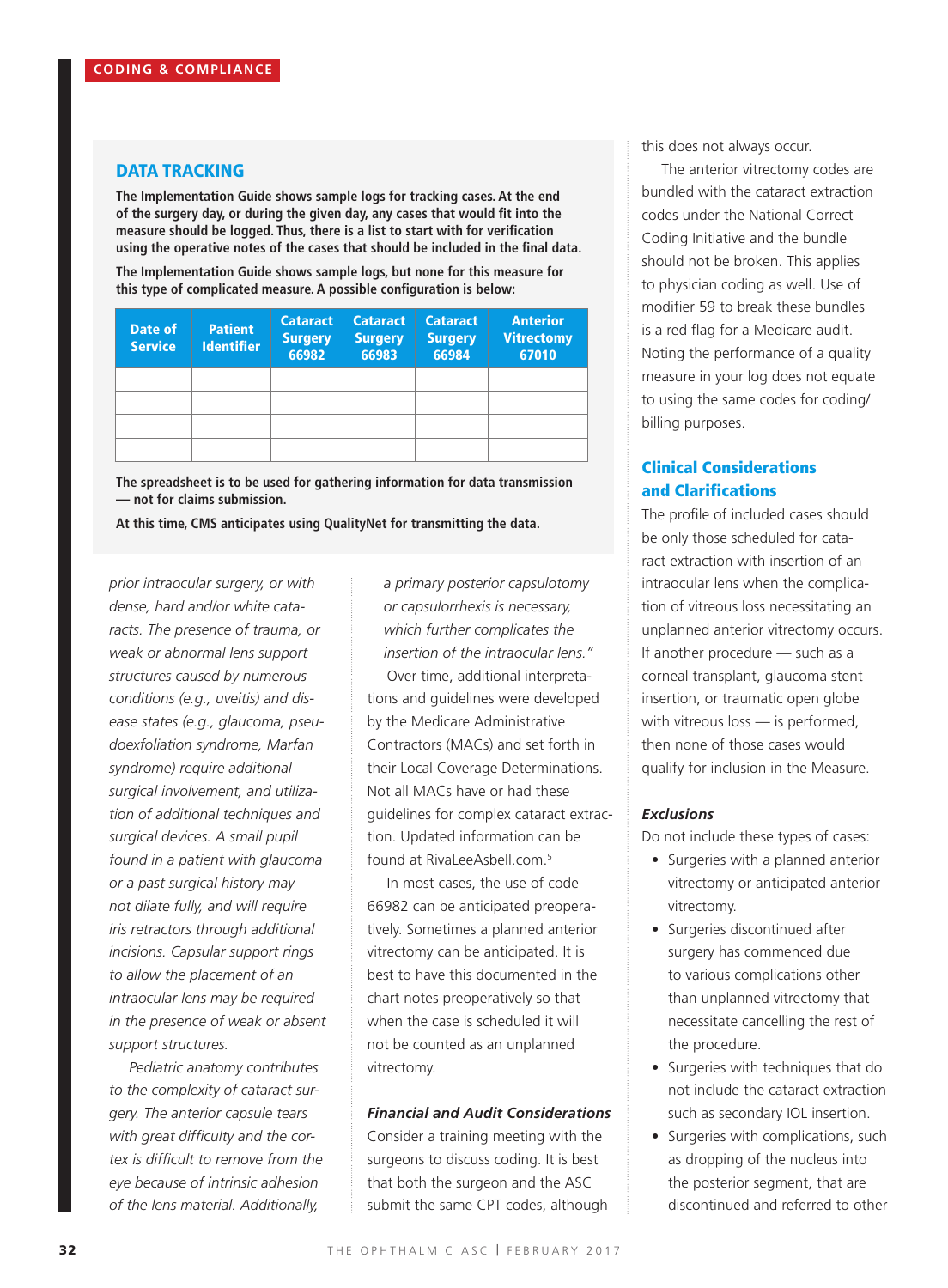#### DATA TRACKING

**The Implementation Guide shows sample logs for tracking cases. At the end of the surgery day, or during the given day, any cases that would fit into the measure should be logged. Thus, there is a list to start with for verification using the operative notes of the cases that should be included in the final data.**

**The Implementation Guide shows sample logs, but none for this measure for this type of complicated measure. A possible configuration is below:**

| Date of<br><b>Service</b> | <b>Patient</b><br><b>Identifier</b> | <b>Cataract</b><br><b>Surgery</b><br>66982 | <b>Cataract</b><br><b>Surgery</b><br>66983 | <b>Cataract</b><br><b>Surgery</b><br>66984 | <b>Anterior</b><br><b>Vitrectomy</b><br>67010 |
|---------------------------|-------------------------------------|--------------------------------------------|--------------------------------------------|--------------------------------------------|-----------------------------------------------|
|                           |                                     |                                            |                                            |                                            |                                               |
|                           |                                     |                                            |                                            |                                            |                                               |
|                           |                                     |                                            |                                            |                                            |                                               |
|                           |                                     |                                            |                                            |                                            |                                               |

**The spreadsheet is to be used for gathering information for data transmission — not for claims submission.**

**At this time, CMS anticipates using QualityNet for transmitting the data.**

*prior intraocular surgery, or with dense, hard and/or white cataracts. The presence of trauma, or weak or abnormal lens support structures caused by numerous conditions (e.g., uveitis) and disease states (e.g., glaucoma, pseudoexfoliation syndrome, Marfan syndrome) require additional surgical involvement, and utilization of additional techniques and surgical devices. A small pupil found in a patient with glaucoma or a past surgical history may not dilate fully, and will require iris retractors through additional incisions. Capsular support rings to allow the placement of an intraocular lens may be required in the presence of weak or absent support structures.*

*Pediatric anatomy contributes to the complexity of cataract surgery. The anterior capsule tears with great difficulty and the cortex is difficult to remove from the eye because of intrinsic adhesion of the lens material. Additionally,* 

*a primary posterior capsulotomy or capsulorrhexis is necessary, which further complicates the insertion of the intraocular lens."*

Over time, additional interpretations and guidelines were developed by the Medicare Administrative Contractors (MACs) and set forth in their Local Coverage Determinations. Not all MACs have or had these guidelines for complex cataract extraction. Updated information can be found at RivaLeeAsbell.com.5

In most cases, the use of code 66982 can be anticipated preoperatively. Sometimes a planned anterior vitrectomy can be anticipated. It is best to have this documented in the chart notes preoperatively so that when the case is scheduled it will not be counted as an unplanned vitrectomy.

#### *Financial and Audit Considerations*

Consider a training meeting with the surgeons to discuss coding. It is best that both the surgeon and the ASC submit the same CPT codes, although this does not always occur.

The anterior vitrectomy codes are bundled with the cataract extraction codes under the National Correct Coding Initiative and the bundle should not be broken. This applies to physician coding as well. Use of modifier 59 to break these bundles is a red flag for a Medicare audit. Noting the performance of a quality measure in your log does not equate to using the same codes for coding/ billing purposes.

# Clinical Considerations and Clarifications

The profile of included cases should be only those scheduled for cataract extraction with insertion of an intraocular lens when the complication of vitreous loss necessitating an unplanned anterior vitrectomy occurs. If another procedure — such as a corneal transplant, glaucoma stent insertion, or traumatic open globe with vitreous loss — is performed, then none of those cases would qualify for inclusion in the Measure.

#### *Exclusions*

Do not include these types of cases:

- Surgeries with a planned anterior vitrectomy or anticipated anterior vitrectomy.
- Surgeries discontinued after surgery has commenced due to various complications other than unplanned vitrectomy that necessitate cancelling the rest of the procedure.
- Surgeries with techniques that do not include the cataract extraction such as secondary IOL insertion.
- Surgeries with complications, such as dropping of the nucleus into the posterior segment, that are discontinued and referred to other